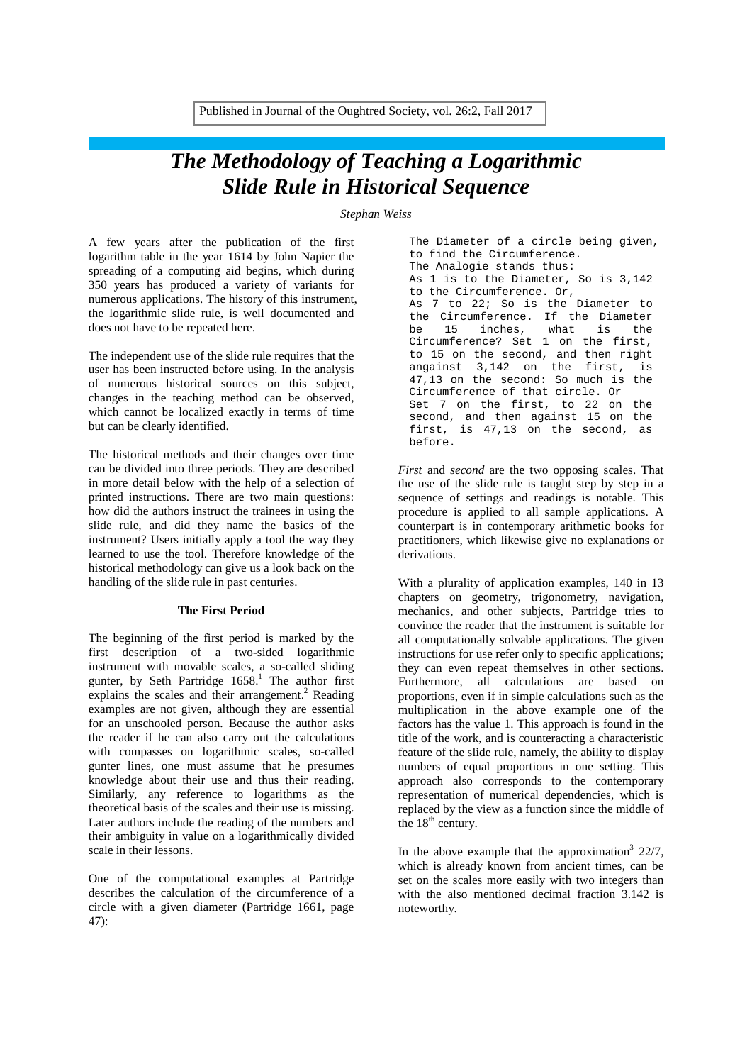# *The Methodology of Teaching a Logarithmic Slide Rule in Historical Sequence*

*Stephan Weiss*

A few years after the publication of the first logarithm table in the year 1614 by John Napier the spreading of a computing aid begins, which during 350 years has produced a variety of variants for numerous applications. The history of this instrument, the logarithmic slide rule, is well documented and does not have to be repeated here.

The independent use of the slide rule requires that the user has been instructed before using. In the analysis of numerous historical sources on this subject, changes in the teaching method can be observed, which cannot be localized exactly in terms of time but can be clearly identified.

The historical methods and their changes over time can be divided into three periods. They are described in more detail below with the help of a selection of printed instructions. There are two main questions: how did the authors instruct the trainees in using the slide rule, and did they name the basics of the instrument? Users initially apply a tool the way they learned to use the tool. Therefore knowledge of the historical methodology can give us a look back on the handling of the slide rule in past centuries.

### **The First Period**

The beginning of the first period is marked by the first description of a two-sided logarithmic instrument with movable scales, a so-called sliding gunter, by Seth Partridge  $1658$ .<sup>1</sup> The author first explains the scales and their arrangement.<sup>2</sup> Reading examples are not given, although they are essential for an unschooled person. Because the author asks the reader if he can also carry out the calculations with compasses on logarithmic scales, so-called gunter lines, one must assume that he presumes knowledge about their use and thus their reading. Similarly, any reference to logarithms as the theoretical basis of the scales and their use is missing. Later authors include the reading of the numbers and their ambiguity in value on a logarithmically divided scale in their lessons.

One of the computational examples at Partridge describes the calculation of the circumference of a circle with a given diameter (Partridge 1661, page 47):

The Diameter of a circle being given, to find the Circumference. The Analogie stands thus: As 1 is to the Diameter, So is 3,142 to the Circumference. Or, As 7 to 22; So is the Diameter to the Circumference. If the Diameter<br>be 15 inches, what is the be 15 inches, what is the Circumference? Set 1 on the first, to 15 on the second, and then right angainst 3,142 on the first, is 47,13 on the second: So much is the Circumference of that circle. Or Set 7 on the first, to 22 on the second, and then against 15 on the first, is 47,13 on the second, as before.

*First* and *second* are the two opposing scales. That the use of the slide rule is taught step by step in a sequence of settings and readings is notable. This procedure is applied to all sample applications. A counterpart is in contemporary arithmetic books for practitioners, which likewise give no explanations or derivations.

With a plurality of application examples, 140 in 13 chapters on geometry, trigonometry, navigation, mechanics, and other subjects, Partridge tries to convince the reader that the instrument is suitable for all computationally solvable applications. The given instructions for use refer only to specific applications; they can even repeat themselves in other sections. Furthermore, all calculations are based on proportions, even if in simple calculations such as the multiplication in the above example one of the factors has the value 1. This approach is found in the title of the work, and is counteracting a characteristic feature of the slide rule, namely, the ability to display numbers of equal proportions in one setting. This approach also corresponds to the contemporary representation of numerical dependencies, which is replaced by the view as a function since the middle of the  $18<sup>th</sup>$  century.

In the above example that the approximation<sup>3</sup>  $22/7$ , which is already known from ancient times, can be set on the scales more easily with two integers than with the also mentioned decimal fraction 3.142 is noteworthy.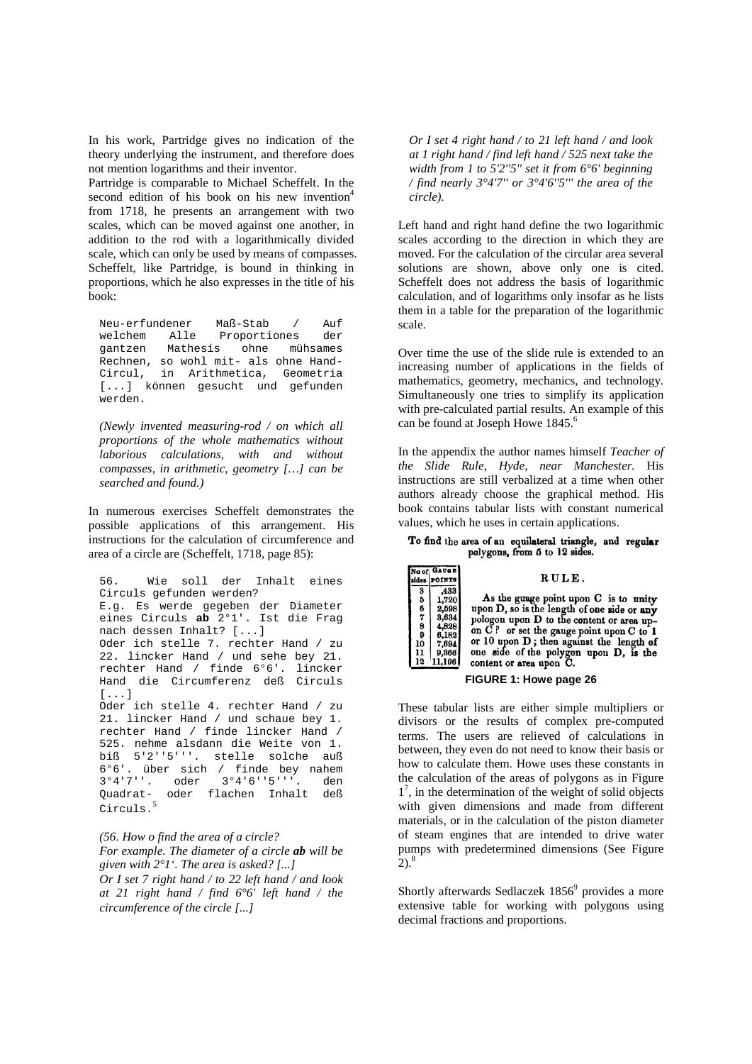In his work, Partridge gives no indication of the theory underlying the instrument, and therefore does not mention logarithms and their inventor.

Partridge is comparable to Michael Scheffelt. In the second edition of his book on his new invention<sup>4</sup> from 1718, he presents an arrangement with two scales, which can be moved against one another, in addition to the rod with a logarithmically divided scale, which can only be used by means of compasses. Scheffelt, like Partridge, is bound in thinking in proportions, which he also expresses in the title of his book:

Neu-erfundener Maß-Stab / Auf welchem Alle Proportiones der<br>gantzen Mathesis ohne mühsames gantzen Mathesis ohne mühsames Rechnen, so wohl mit- als ohne Hand-Circul, in Arithmetica, Geometria [...] können gesucht und gefunden werden.

*(Newly invented measuring-rod / on which all proportions of the whole mathematics without laborious calculations, with and without compasses, in arithmetic, geometry […] can be searched and found.)*

In numerous exercises Scheffelt demonstrates the possible applications of this arrangement. His instructions for the calculation of circumference and area of a circle are (Scheffelt, 1718, page 85):

56. Wie soll der Inhalt eines Circuls gefunden werden? E.g. Es werde gegeben der Diameter eines Circuls **ab** 2°1'. Ist die Frag nach dessen Inhalt? [...] Oder ich stelle 7. rechter Hand / zu 22. lincker Hand / und sehe bey 21. rechter Hand / finde 6°6'. lincker Hand die Circumferenz deß Circuls [...] Oder ich stelle 4. rechter Hand / zu 21. lincker Hand / und schaue bey 1. rechter Hand / finde lincker Hand / 525. nehme alsdann die Weite von 1. biß 5'2''5'''. stelle solche auß 6°6'. über sich / finde bey nahem<br>3°4'7''. oder 3°4'6''5'''. den 3°4'7''. oder 3°4'6''5'''. den Quadrat- oder flachen Inhalt deß Circuls.<sup>5</sup>

*(56. How o find the area of a circle? For example. The diameter of a circle ab will be given with 2°1'. The area is asked? [...] Or I set 7 right hand / to 22 left hand / and look at 21 right hand / find 6°6' left hand / the circumference of the circle [...]*

*Or I set 4 right hand / to 21 left hand / and look at 1 right hand / find left hand / 525 next take the width from 1 to 5'2''5'' set it from 6°6' beginning / find nearly 3°4'7'' or 3°4'6''5''' the area of the circle).*

Left hand and right hand define the two logarithmic scales according to the direction in which they are moved. For the calculation of the circular area several solutions are shown, above only one is cited. Scheffelt does not address the basis of logarithmic calculation, and of logarithms only insofar as he lists them in a table for the preparation of the logarithmic scale.

Over time the use of the slide rule is extended to an increasing number of applications in the fields of mathematics, geometry, mechanics, and technology. Simultaneously one tries to simplify its application with pre-calculated partial results. An example of this can be found at Joseph Howe 1845.<sup>6</sup>

In the appendix the author names himself *Teacher of the Slide Rule, Hyde, near Manchester.* His instructions are still verbalized at a time when other authors already choose the graphical method. His book contains tabular lists with constant numerical values, which he uses in certain applications.

#### To find the area of an equilateral triangle, and regular polygons, from 5 to 12 sides.



#### **FIGURE 1: Howe page 26**

These tabular lists are either simple multipliers or divisors or the results of complex pre-computed terms. The users are relieved of calculations in between, they even do not need to know their basis or how to calculate them. Howe uses these constants in the calculation of the areas of polygons as in Figure 1<sup>7</sup>, in the determination of the weight of solid objects with given dimensions and made from different materials, or in the calculation of the piston diameter of steam engines that are intended to drive water pumps with predetermined dimensions (See Figure  $2)$ .<sup>8</sup>

Shortly afterwards Sedlaczek  $1856<sup>9</sup>$  provides a more extensive table for working with polygons using decimal fractions and proportions.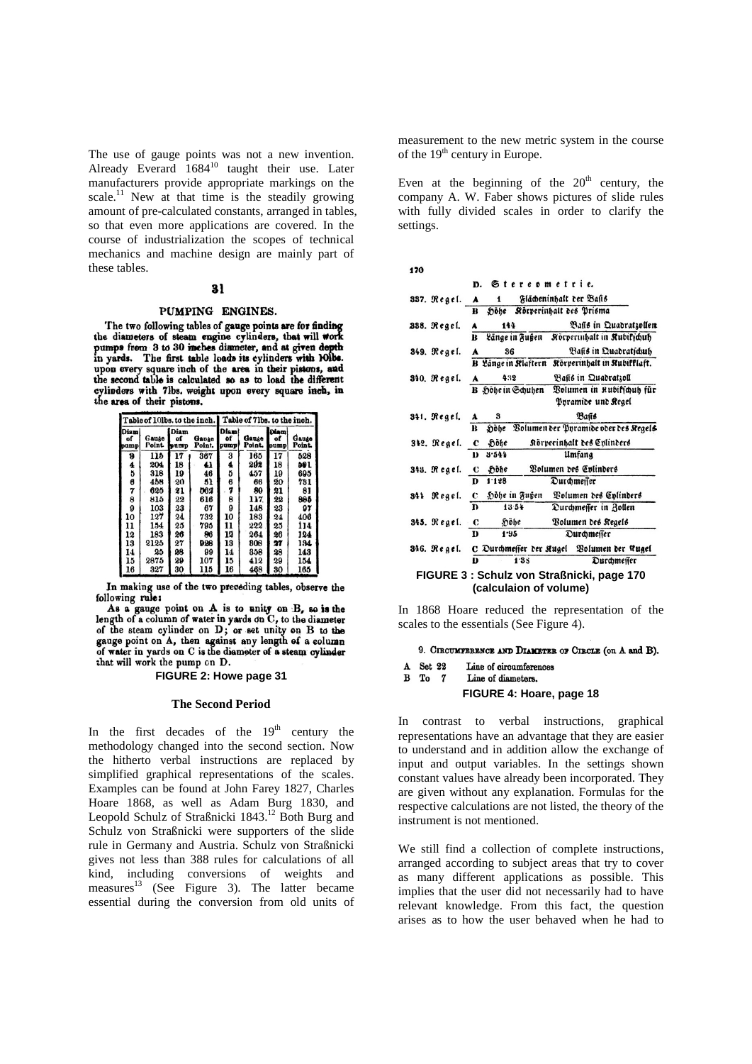The use of gauge points was not a new invention. Already Everard 1684<sup>10</sup> taught their use. Later manufacturers provide appropriate markings on the scale.<sup>11</sup> New at that time is the steadily growing amount of pre-calculated constants, arranged in tables, so that even more applications are covered. In the course of industrialization the scopes of technical mechanics and machine design are mainly part of these tables.

#### 31

### PUMPING ENGINES.

The two following tables of gauge points are for finding the diameters of steam engine cylinders, that will work pumps from 3 to 30 inches diameter, and at given depth in yards. The first table loads its cylinders with 10lbs. upon every square inch of the area in their pistons, and the second table is calculated so as to load the different cylinders with 7lbs. weight upon every square inch, in the area of their pistons.

|                     |                       |                    |                 | Table of 10lbs. to the inch. Table of 7lbs. to the inch. |                 |                           |                 |
|---------------------|-----------------------|--------------------|-----------------|----------------------------------------------------------|-----------------|---------------------------|-----------------|
| Diami<br>of<br>pump | Gauge<br><b>Point</b> | Diam<br>of<br>pump | Gange<br>Point. | Diam!<br>of<br>pump                                      | Gauge<br>Point. | <b>Diam</b><br>of<br>oump | Gauge<br>Point. |
| 9                   | 115                   | 17                 | 367             | 3                                                        | 165             | 17                        | 528             |
| 4                   | 204                   | 18                 | 41              | 4                                                        | 292             | 18                        | 591             |
| 5                   | 318                   | 19                 | 46              | ð                                                        | 457             | 19                        | 695             |
| 6                   | 458                   | 20                 | 51              | 6                                                        | 66              | 20                        | 731             |
| 7                   | 625                   | 21                 | ma              | 7                                                        | 89              | 21                        | 81              |
| 8                   | 815                   | 22                 | 616             | 8                                                        | 117             | 22                        | 885             |
| 9                   | 103                   | 23                 | 67              | 9                                                        | 148             | 23                        | 97              |
| 10                  | 127                   | 24                 | 732             | 10                                                       | 183             | 24                        | 406             |
| 11                  | 154                   | 25                 | 795             | 11                                                       | 222             | 25                        | 114             |
| 12                  | 183                   | 26                 | 86              | 12                                                       | 264             | 26                        | 124             |
| 13                  | 2125                  | 27                 | 928             | 13                                                       | 808             | 27                        | 134             |
| 14                  | 25                    | 98                 | 99              | 14                                                       | 858             | 28                        | 143             |
| 15                  | 2875                  | 29                 | 107             | 15                                                       | 412             | 29                        | 154             |
| 16                  | 327                   | 30                 | 115             | 16                                                       | 468             | 30                        | 165             |

In making use of the two preveding tables, observe the following rule:

As a gauge point on A is to unity on B, so is the length of a column of water in yards on C, to the diameter of the steam cylinder on D; or set unity on B to the gauge point on A, then against any length of a column<br>of water in yards on C is the diameter of a steam cylinder that will work the pump on D.

## **FIGURE 2: Howe page 31**

## **The Second Period**

In the first decades of the  $19<sup>th</sup>$  century the methodology changed into the second section. Now the hitherto verbal instructions are replaced by simplified graphical representations of the scales. Examples can be found at John Farey 1827, Charles Hoare 1868, as well as Adam Burg 1830, and Leopold Schulz of Straßnicki 1843.<sup>12</sup> Both Burg and Schulz von Straßnicki were supporters of the slide rule in Germany and Austria. Schulz von Straßnicki gives not less than 388 rules for calculations of all kind, including conversions of weights and measures<sup>13</sup> (See Figure 3). The latter became essential during the conversion from old units of

measurement to the new metric system in the course of the 19<sup>th</sup> century in Europe.

Even at the beginning of the  $20<sup>th</sup>$  century, the company A. W. Faber shows pictures of slide rules with fully divided scales in order to clarify the settings.

|  | ۰ |  |
|--|---|--|

|             | Stereometrie.<br>D.               |                                            |  |  |  |
|-------------|-----------------------------------|--------------------------------------------|--|--|--|
| 337. Regel. | Flächeninhalt ter Basis<br>A<br>1 |                                            |  |  |  |
|             | R                                 | höhe Rörperinhalt des Prisma               |  |  |  |
| 338. Regel. | 144<br>A                          | Bafis in Quadratzollen                     |  |  |  |
|             | Länge in Fußen<br>R               | Rörperinhalt in Rubificuth                 |  |  |  |
| 849. Regel. | 36<br>A                           | Basis in Quadraticub                       |  |  |  |
|             | B Länge in Rlaftern               | Rörperinhalt in Rubifflaft.                |  |  |  |
| 340. Regel. | 432<br>A                          | Basis in Quadratzoll                       |  |  |  |
|             | B Höhe in Schuhen                 | Bolumen in Rubiffcub für                   |  |  |  |
|             |                                   | Pyramide und Regel                         |  |  |  |
| 341. Regel. | 3<br>A                            | Bañs                                       |  |  |  |
|             | Dobe<br>B                         | Bolumen der Pyramide oder des Regels       |  |  |  |
| 342. Regel. | Höhe<br>c                         | Körperinhalt des Enlinders                 |  |  |  |
|             | 3.544<br>D                        | Umfang                                     |  |  |  |
| 343. Regel. | höhe<br>$\bf c$                   | Volumen des Colinders                      |  |  |  |
|             | 1.128<br>D                        | Durchmeiīer                                |  |  |  |
| 341 Regel.  | Höhe in Fußen<br>c                | Volumen des Colinders                      |  |  |  |
|             | 13.54<br>D                        | Durchmeffer in Zollen                      |  |  |  |
| 345. Regel. | Höhe<br>С                         | Bolumen des Kegels                         |  |  |  |
|             | D<br>1.95                         | <b><i><u>Ourchmeffer</u></i></b>           |  |  |  |
| 346. Regel. |                                   | C Durchmeffer der Kugel Volumen der Stugel |  |  |  |
|             | Ð<br>1.35                         | Durchmeffer                                |  |  |  |
|             |                                   | FIGURE 3 : Schulz von Straßnicki, page 170 |  |  |  |
|             | (calculaion of volume)            |                                            |  |  |  |
|             |                                   |                                            |  |  |  |

In 1868 Hoare reduced the representation of the scales to the essentials (See Figure 4).

#### 9. CIRCUMFERENCE AND DIAMETER OF CIRCLE (on A and B).

- A Set 22 Line of circumferences
- $B$  T<sub>o</sub>  $7$ Line of diameters.

#### **FIGURE 4: Hoare, page 18**

In contrast to verbal instructions, graphical representations have an advantage that they are easier to understand and in addition allow the exchange of input and output variables. In the settings shown constant values have already been incorporated. They are given without any explanation. Formulas for the respective calculations are not listed, the theory of the instrument is not mentioned.

We still find a collection of complete instructions, arranged according to subject areas that try to cover as many different applications as possible. This implies that the user did not necessarily had to have relevant knowledge. From this fact, the question arises as to how the user behaved when he had to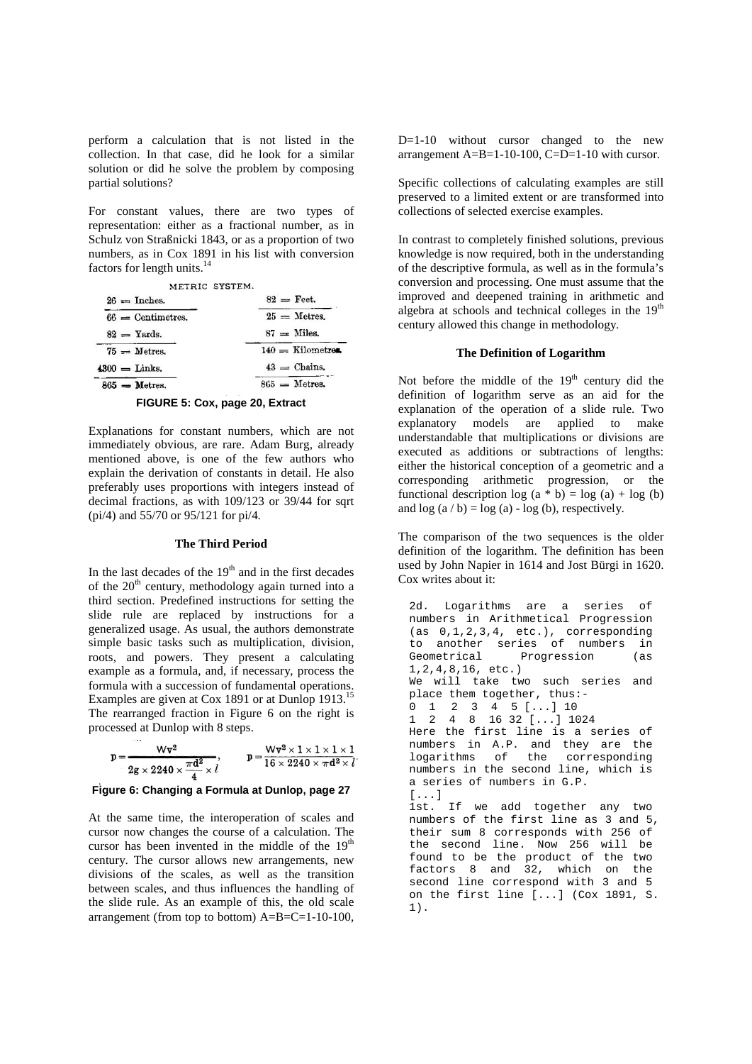perform a calculation that is not listed in the collection. In that case, did he look for a similar solution or did he solve the problem by composing partial solutions?

For constant values, there are two types of representation: either as a fractional number, as in Schulz von Straßnicki 1843, or as a proportion of two numbers, as in Cox 1891 in his list with conversion factors for length units.<sup>14</sup>

| METRIC SYSTEM.      |                    |
|---------------------|--------------------|
| $26 =$ Inches.      | $82 =$ Feet.       |
| $66$ = Centimetres. | $25 =$ Metres.     |
| $82 =$ Yards.       | $87 =$ Miles.      |
| $75 =$ Metres.      | $140 =$ Kilometres |
| $4300 =$ Links.     | $43 =$ Chains.     |
| $865$ = Metres.     | $865 =$ Metres.    |
|                     |                    |



Explanations for constant numbers, which are not immediately obvious, are rare. Adam Burg, already mentioned above, is one of the few authors who explain the derivation of constants in detail. He also preferably uses proportions with integers instead of decimal fractions, as with 109/123 or 39/44 for sqrt (pi/4) and 55/70 or 95/121 for pi/4.

# **The Third Period**

In the last decades of the  $19<sup>th</sup>$  and in the first decades of the  $20<sup>th</sup>$  century, methodology again turned into a third section. Predefined instructions for setting the slide rule are replaced by instructions for a generalized usage. As usual, the authors demonstrate simple basic tasks such as multiplication, division, roots, and powers. They present a calculating example as a formula, and, if necessary, process the formula with a succession of fundamental operations. Examples are given at Cox 1891 or at Dunlop 1913.<sup>15</sup> The rearranged fraction in Figure 6 on the right is processed at Dunlop with 8 steps.

$$
p = \frac{Wv^2}{2g \times 2240 \times \frac{\pi d^2}{4} \times l}, \qquad p = \frac{Wv^2 \times 1 \times 1 \times 1 \times 1}{16 \times 2240 \times \pi d^2 \times l}
$$

## **Figure 6: Changing a Formula at Dunlop, page 27**

At the same time, the interoperation of scales and cursor now changes the course of a calculation. The cursor has been invented in the middle of the  $19<sup>th</sup>$ century. The cursor allows new arrangements, new divisions of the scales, as well as the transition between scales, and thus influences the handling of the slide rule. As an example of this, the old scale arrangement (from top to bottom) A=B=C=1-10-100,

D=1-10 without cursor changed to the new arrangement A=B=1-10-100, C=D=1-10 with cursor.

Specific collections of calculating examples are still preserved to a limited extent or are transformed into collections of selected exercise examples.

In contrast to completely finished solutions, previous knowledge is now required, both in the understanding of the descriptive formula, as well as in the formula's conversion and processing. One must assume that the improved and deepened training in arithmetic and algebra at schools and technical colleges in the 19<sup>th</sup> century allowed this change in methodology.

# **The Definition of Logarithm**

Not before the middle of the  $19<sup>th</sup>$  century did the definition of logarithm serve as an aid for the explanation of the operation of a slide rule. Two explanatory models are applied to make understandable that multiplications or divisions are executed as additions or subtractions of lengths: either the historical conception of a geometric and a corresponding arithmetic progression, or the functional description  $log (a * b) = log (a) + log (b)$ and  $log (a / b) = log (a) - log (b)$ , respectively.

The comparison of the two sequences is the older definition of the logarithm. The definition has been used by John Napier in 1614 and Jost Bürgi in 1620. Cox writes about it:

2d. Logarithms are a series of numbers in Arithmetical Progression  $(as 0, 1, 2, 3, 4, etc.)$ , corresponding to another series of numbers in<br>Geometrical Progression (as Progression (as 1,2,4,8,16, etc.) We will take two such series and place them together, thus:- 0 1 2 3 4 5 [...] 10 1 2 4 8 16 32 [...] 1024 Here the first line is a series of numbers in A.P. and they are the logarithms of the corresponding numbers in the second line, which is a series of numbers in G.P. [...] 1st. If we add together any two numbers of the first line as 3 and 5, their sum 8 corresponds with 256 of the second line. Now 256 will be found to be the product of the two factors 8 and 32, which on the second line correspond with 3 and 5 on the first line [...] (Cox 1891, S. 1).